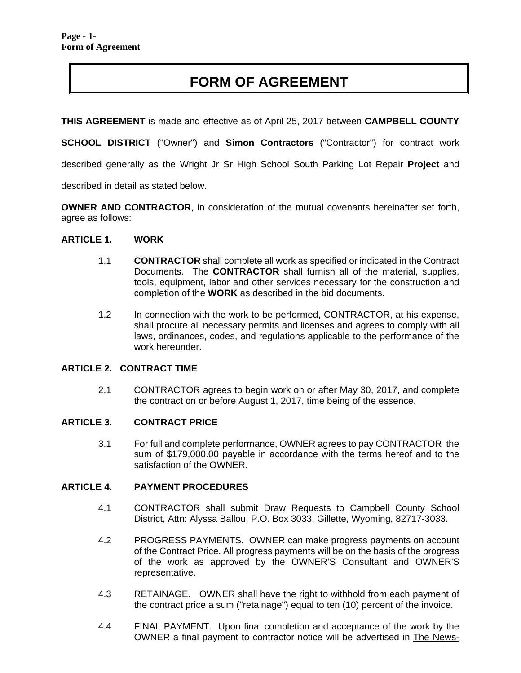# **FORM OF AGREEMENT**

**THIS AGREEMENT** is made and effective as of April 25, 2017 between **CAMPBELL COUNTY** 

**SCHOOL DISTRICT** ("Owner") and **Simon Contractors** ("Contractor") for contract work

described generally as the Wright Jr Sr High School South Parking Lot Repair **Project** and

described in detail as stated below.

**OWNER AND CONTRACTOR**, in consideration of the mutual covenants hereinafter set forth, agree as follows:

#### **ARTICLE 1. WORK**

- 1.1 **CONTRACTOR** shall complete all work as specified or indicated in the Contract Documents. The **CONTRACTOR** shall furnish all of the material, supplies, tools, equipment, labor and other services necessary for the construction and completion of the **WORK** as described in the bid documents.
- 1.2 In connection with the work to be performed, CONTRACTOR, at his expense, shall procure all necessary permits and licenses and agrees to comply with all laws, ordinances, codes, and regulations applicable to the performance of the work hereunder.

#### **ARTICLE 2. CONTRACT TIME**

2.1 CONTRACTOR agrees to begin work on or after May 30, 2017, and complete the contract on or before August 1, 2017, time being of the essence.

#### **ARTICLE 3. CONTRACT PRICE**

3.1 For full and complete performance, OWNER agrees to pay CONTRACTOR the sum of \$179,000.00 payable in accordance with the terms hereof and to the satisfaction of the OWNER.

#### **ARTICLE 4. PAYMENT PROCEDURES**

- 4.1 CONTRACTOR shall submit Draw Requests to Campbell County School District, Attn: Alyssa Ballou, P.O. Box 3033, Gillette, Wyoming, 82717-3033.
- 4.2 PROGRESS PAYMENTS. OWNER can make progress payments on account of the Contract Price. All progress payments will be on the basis of the progress of the work as approved by the OWNER'S Consultant and OWNER'S representative.
- 4.3 RETAINAGE. OWNER shall have the right to withhold from each payment of the contract price a sum ("retainage") equal to ten (10) percent of the invoice.
- 4.4 FINAL PAYMENT. Upon final completion and acceptance of the work by the OWNER a final payment to contractor notice will be advertised in The News-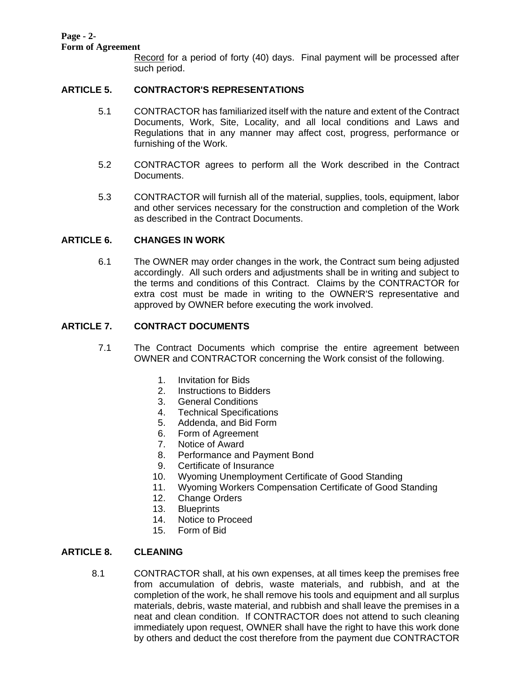#### **Page - 2- Form of Agreement**

Record for a period of forty (40) days. Final payment will be processed after such period.

## **ARTICLE 5. CONTRACTOR'S REPRESENTATIONS**

- 5.1 CONTRACTOR has familiarized itself with the nature and extent of the Contract Documents, Work, Site, Locality, and all local conditions and Laws and Regulations that in any manner may affect cost, progress, performance or furnishing of the Work.
- 5.2 CONTRACTOR agrees to perform all the Work described in the Contract Documents.
- 5.3 CONTRACTOR will furnish all of the material, supplies, tools, equipment, labor and other services necessary for the construction and completion of the Work as described in the Contract Documents.

## **ARTICLE 6. CHANGES IN WORK**

6.1 The OWNER may order changes in the work, the Contract sum being adjusted accordingly. All such orders and adjustments shall be in writing and subject to the terms and conditions of this Contract. Claims by the CONTRACTOR for extra cost must be made in writing to the OWNER'S representative and approved by OWNER before executing the work involved.

## **ARTICLE 7. CONTRACT DOCUMENTS**

- 7.1 The Contract Documents which comprise the entire agreement between OWNER and CONTRACTOR concerning the Work consist of the following.
	- 1. Invitation for Bids
	- 2. Instructions to Bidders
	- 3. General Conditions
	- 4. Technical Specifications
	- 5. Addenda, and Bid Form
	- 6. Form of Agreement
	- 7. Notice of Award
	- 8. Performance and Payment Bond
	- 9. Certificate of Insurance
	- 10. Wyoming Unemployment Certificate of Good Standing
	- 11. Wyoming Workers Compensation Certificate of Good Standing
	- 12. Change Orders
	- 13. Blueprints
	- 14. Notice to Proceed
	- 15. Form of Bid

## **ARTICLE 8. CLEANING**

8.1 CONTRACTOR shall, at his own expenses, at all times keep the premises free from accumulation of debris, waste materials, and rubbish, and at the completion of the work, he shall remove his tools and equipment and all surplus materials, debris, waste material, and rubbish and shall leave the premises in a neat and clean condition. If CONTRACTOR does not attend to such cleaning immediately upon request, OWNER shall have the right to have this work done by others and deduct the cost therefore from the payment due CONTRACTOR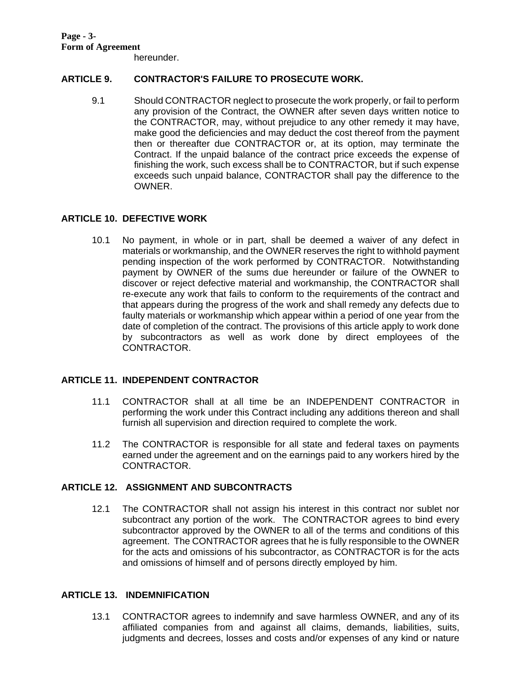hereunder.

## **ARTICLE 9. CONTRACTOR'S FAILURE TO PROSECUTE WORK.**

9.1 Should CONTRACTOR neglect to prosecute the work properly, or fail to perform any provision of the Contract, the OWNER after seven days written notice to the CONTRACTOR, may, without prejudice to any other remedy it may have, make good the deficiencies and may deduct the cost thereof from the payment then or thereafter due CONTRACTOR or, at its option, may terminate the Contract. If the unpaid balance of the contract price exceeds the expense of finishing the work, such excess shall be to CONTRACTOR, but if such expense exceeds such unpaid balance, CONTRACTOR shall pay the difference to the OWNER.

## **ARTICLE 10. DEFECTIVE WORK**

10.1 No payment, in whole or in part, shall be deemed a waiver of any defect in materials or workmanship, and the OWNER reserves the right to withhold payment pending inspection of the work performed by CONTRACTOR. Notwithstanding payment by OWNER of the sums due hereunder or failure of the OWNER to discover or reject defective material and workmanship, the CONTRACTOR shall re-execute any work that fails to conform to the requirements of the contract and that appears during the progress of the work and shall remedy any defects due to faulty materials or workmanship which appear within a period of one year from the date of completion of the contract. The provisions of this article apply to work done by subcontractors as well as work done by direct employees of the CONTRACTOR.

## **ARTICLE 11. INDEPENDENT CONTRACTOR**

- 11.1 CONTRACTOR shall at all time be an INDEPENDENT CONTRACTOR in performing the work under this Contract including any additions thereon and shall furnish all supervision and direction required to complete the work.
- 11.2 The CONTRACTOR is responsible for all state and federal taxes on payments earned under the agreement and on the earnings paid to any workers hired by the CONTRACTOR.

## **ARTICLE 12. ASSIGNMENT AND SUBCONTRACTS**

12.1 The CONTRACTOR shall not assign his interest in this contract nor sublet nor subcontract any portion of the work. The CONTRACTOR agrees to bind every subcontractor approved by the OWNER to all of the terms and conditions of this agreement. The CONTRACTOR agrees that he is fully responsible to the OWNER for the acts and omissions of his subcontractor, as CONTRACTOR is for the acts and omissions of himself and of persons directly employed by him.

## **ARTICLE 13. INDEMNIFICATION**

13.1 CONTRACTOR agrees to indemnify and save harmless OWNER, and any of its affiliated companies from and against all claims, demands, liabilities, suits, judgments and decrees, losses and costs and/or expenses of any kind or nature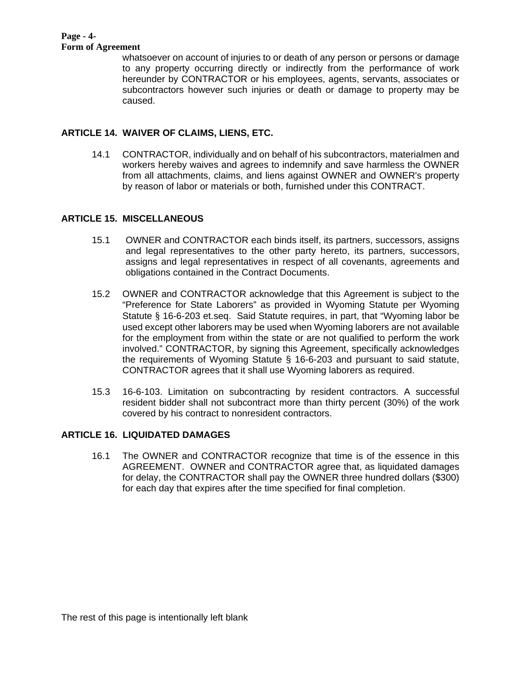#### **Page - 4- Form of Agreement**

whatsoever on account of injuries to or death of any person or persons or damage to any property occurring directly or indirectly from the performance of work hereunder by CONTRACTOR or his employees, agents, servants, associates or subcontractors however such injuries or death or damage to property may be caused.

# **ARTICLE 14. WAIVER OF CLAIMS, LIENS, ETC.**

14.1 CONTRACTOR, individually and on behalf of his subcontractors, materialmen and workers hereby waives and agrees to indemnify and save harmless the OWNER from all attachments, claims, and liens against OWNER and OWNER's property by reason of labor or materials or both, furnished under this CONTRACT.

# **ARTICLE 15. MISCELLANEOUS**

- 15.1 OWNER and CONTRACTOR each binds itself, its partners, successors, assigns and legal representatives to the other party hereto, its partners, successors, assigns and legal representatives in respect of all covenants, agreements and obligations contained in the Contract Documents.
- 15.2 OWNER and CONTRACTOR acknowledge that this Agreement is subject to the "Preference for State Laborers" as provided in Wyoming Statute per Wyoming Statute § 16-6-203 et.seq. Said Statute requires, in part, that "Wyoming labor be used except other laborers may be used when Wyoming laborers are not available for the employment from within the state or are not qualified to perform the work involved." CONTRACTOR, by signing this Agreement, specifically acknowledges the requirements of Wyoming Statute § 16-6-203 and pursuant to said statute, CONTRACTOR agrees that it shall use Wyoming laborers as required.
- 15.3 16-6-103. Limitation on subcontracting by resident contractors. A successful resident bidder shall not subcontract more than thirty percent (30%) of the work covered by his contract to nonresident contractors.

# **ARTICLE 16. LIQUIDATED DAMAGES**

 16.1 The OWNER and CONTRACTOR recognize that time is of the essence in this AGREEMENT. OWNER and CONTRACTOR agree that, as liquidated damages for delay, the CONTRACTOR shall pay the OWNER three hundred dollars (\$300) for each day that expires after the time specified for final completion.